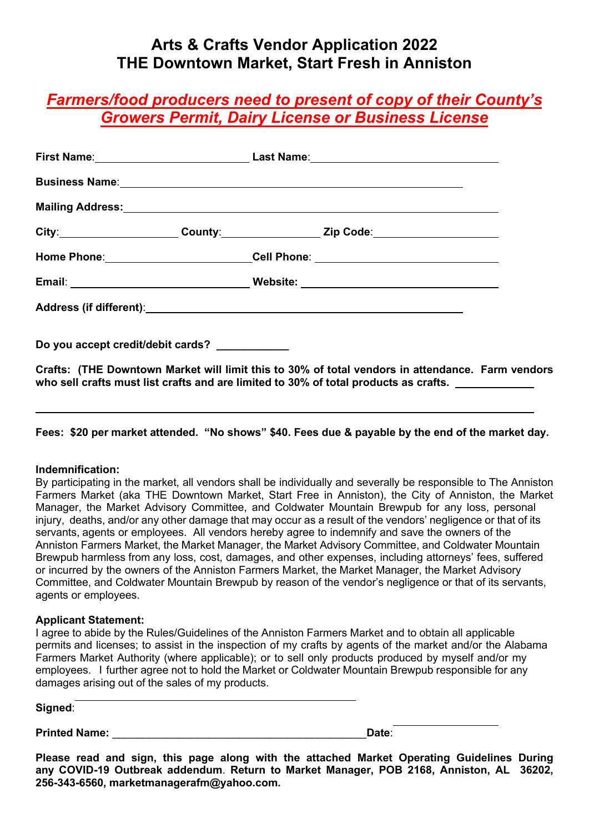# **Arts & Crafts Vendor Application 2022 THE Downtown Market, Start Fresh in Anniston**

# *Farmers/food producers need to present of copy of their County's Growers Permit, Dairy License or Business License*

| City:_____________________County:_______________Zip Code:_______________________                   |  |  |
|----------------------------------------------------------------------------------------------------|--|--|
| Home Phone:__________________________Cell Phone: _______________________________                   |  |  |
|                                                                                                    |  |  |
|                                                                                                    |  |  |
| Do you accept credit/debit cards? ___________                                                      |  |  |
| Oughter, ITHE Demotring Maghet will limit this to 200/ of total woodage in ottandence. Found woods |  |  |

**Crafts: (THE Downtown Market will limit this to 30% of total vendors in attendance. Farm vendors who sell crafts must list crafts and are limited to 30% of total products as crafts.** 

**Fees: \$20 per market attended. "No shows" \$40. Fees due & payable by the end of the market day.** 

#### **Indemnification:**

By participating in the market, all vendors shall be individually and severally be responsible to The Anniston Farmers Market (aka THE Downtown Market, Start Free in Anniston), the City of Anniston, the Market Manager, the Market Advisory Committee, and Coldwater Mountain Brewpub for any loss, personal injury, deaths, and/or any other damage that may occur as a result of the vendors' negligence or that of its servants, agents or employees. All vendors hereby agree to indemnify and save the owners of the Anniston Farmers Market, the Market Manager, the Market Advisory Committee, and Coldwater Mountain Brewpub harmless from any loss, cost, damages, and other expenses, including attorneys' fees, suffered or incurred by the owners of the Anniston Farmers Market, the Market Manager, the Market Advisory Committee, and Coldwater Mountain Brewpub by reason of the vendor's negligence or that of its servants, agents or employees.

#### **Applicant Statement:**

I agree to abide by the Rules/Guidelines of the Anniston Farmers Market and to obtain all applicable permits and licenses; to assist in the inspection of my crafts by agents of the market and/or the Alabama Farmers Market Authority (where applicable); or to sell only products produced by myself and/or my employees. I further agree not to hold the Market or Coldwater Mountain Brewpub responsible for any damages arising out of the sales of my products.

| Signed:              |                                   |
|----------------------|-----------------------------------|
| <b>Printed Name:</b> | <b>Contract Contract</b><br>Date: |

**Please read and sign, this page along with the attached Market Operating Guidelines During any COVID-19 Outbreak addendum**. **Return to Market Manager, POB 2168, Anniston, AL 36202, 256-343-6560, marketmanagerafm@yahoo.com.**